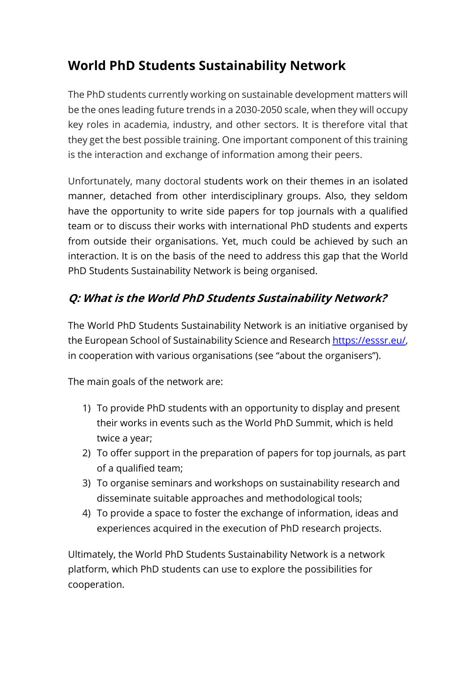# **World PhD Students Sustainability Network**

The PhD students currently working on sustainable development matters will be the ones leading future trends in a 2030-2050 scale, when they will occupy key roles in academia, industry, and other sectors. It is therefore vital that they get the best possible training. One important component of this training is the interaction and exchange of information among their peers.

Unfortunately, many doctoral students work on their themes in an isolated manner, detached from other interdisciplinary groups. Also, they seldom have the opportunity to write side papers for top journals with a qualified team or to discuss their works with international PhD students and experts from outside their organisations. Yet, much could be achieved by such an interaction. It is on the basis of the need to address this gap that the World PhD Students Sustainability Network is being organised.

## **Q: What is the World PhD Students Sustainability Network?**

The World PhD Students Sustainability Network is an initiative organised by the European School of Sustainability Science and Research [https://esssr.eu/,](https://esssr.eu/) in cooperation with various organisations (see "about the organisers").

The main goals of the network are:

- 1) To provide PhD students with an opportunity to display and present their works in events such as the World PhD Summit, which is held twice a year;
- 2) To offer support in the preparation of papers for top journals, as part of a qualified team;
- 3) To organise seminars and workshops on sustainability research and disseminate suitable approaches and methodological tools;
- 4) To provide a space to foster the exchange of information, ideas and experiences acquired in the execution of PhD research projects.

Ultimately, the World PhD Students Sustainability Network is a network platform, which PhD students can use to explore the possibilities for cooperation.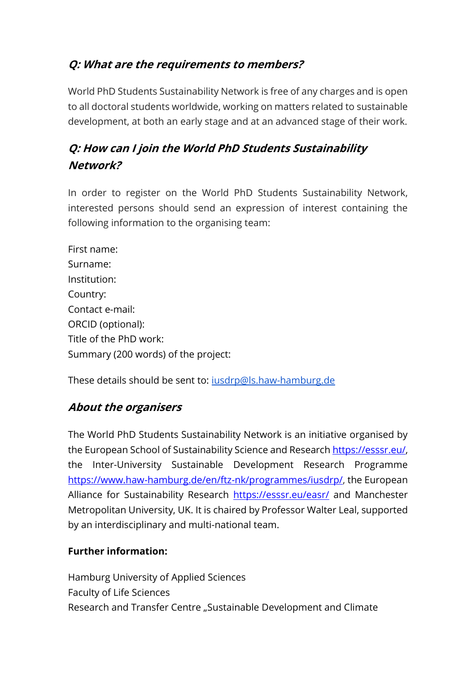### **Q: What are the requirements to members?**

World PhD Students Sustainability Network is free of any charges and is open to all doctoral students worldwide, working on matters related to sustainable development, at both an early stage and at an advanced stage of their work.

## **Q: How can I join the World PhD Students Sustainability Network?**

In order to register on the World PhD Students Sustainability Network, interested persons should send an expression of interest containing the following information to the organising team:

First name: Surname: Institution: Country: Contact e-mail: ORCID (optional): Title of the PhD work: Summary (200 words) of the project:

These details should be sent to: [iusdrp@ls.haw-hamburg.de](mailto:iusdrp@ls.haw-hamburg.de)

#### **About the organisers**

The World PhD Students Sustainability Network is an initiative organised by the European School of Sustainability Science and Research [https://esssr.eu/,](https://esssr.eu/) the Inter-University Sustainable Development Research Programme [https://www.haw-hamburg.de/en/ftz-nk/programmes/iusdrp/,](https://www.haw-hamburg.de/en/ftz-nk/programmes/iusdrp/) the European Alliance for Sustainability Research <https://esssr.eu/easr/> and Manchester Metropolitan University, UK. It is chaired by Professor Walter Leal, supported by an interdisciplinary and multi-national team.

#### **Further information:**

Hamburg University of Applied Sciences Faculty of Life Sciences Research and Transfer Centre "Sustainable Development and Climate